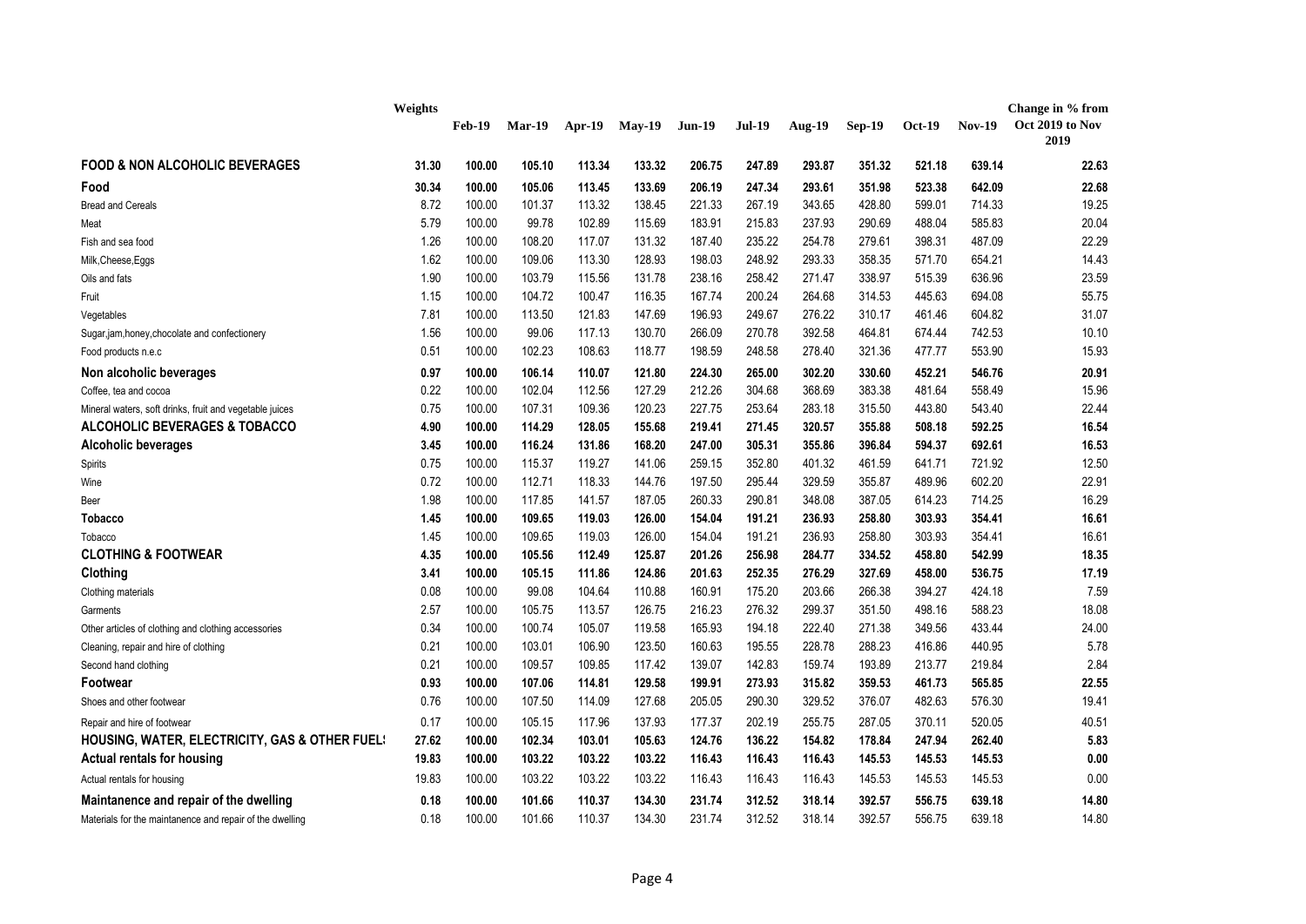|                                                           | Weights | <b>Feb-19</b> | <b>Mar-19</b> | Apr-19 | $Mav-19$ | <b>Jun-19</b> | <b>Jul-19</b> | <b>Aug-19</b> | <b>Sep-19</b> | <b>Oct-19</b> | <b>Nov-19</b> | Change in % from<br>Oct 2019 to Nov<br>2019 |
|-----------------------------------------------------------|---------|---------------|---------------|--------|----------|---------------|---------------|---------------|---------------|---------------|---------------|---------------------------------------------|
| <b>FOOD &amp; NON ALCOHOLIC BEVERAGES</b>                 | 31.30   | 100.00        | 105.10        | 113.34 | 133.32   | 206.75        | 247.89        | 293.87        | 351.32        | 521.18        | 639.14        | 22.63                                       |
| Food                                                      | 30.34   | 100.00        | 105.06        | 113.45 | 133.69   | 206.19        | 247.34        | 293.61        | 351.98        | 523.38        | 642.09        | 22.68                                       |
| <b>Bread and Cereals</b>                                  | 8.72    | 100.00        | 101.37        | 113.32 | 138.45   | 221.33        | 267.19        | 343.65        | 428.80        | 599.01        | 714.33        | 19.25                                       |
| Meat                                                      | 5.79    | 100.00        | 99.78         | 102.89 | 115.69   | 183.91        | 215.83        | 237.93        | 290.69        | 488.04        | 585.83        | 20.04                                       |
| Fish and sea food                                         | 1.26    | 100.00        | 108.20        | 117.07 | 131.32   | 187.40        | 235.22        | 254.78        | 279.61        | 398.31        | 487.09        | 22.29                                       |
| Milk, Cheese, Eggs                                        | 1.62    | 100.00        | 109.06        | 113.30 | 128.93   | 198.03        | 248.92        | 293.33        | 358.35        | 571.70        | 654.21        | 14.43                                       |
| Oils and fats                                             | 1.90    | 100.00        | 103.79        | 115.56 | 131.78   | 238.16        | 258.42        | 271.47        | 338.97        | 515.39        | 636.96        | 23.59                                       |
| Fruit                                                     | 1.15    | 100.00        | 104.72        | 100.47 | 116.35   | 167.74        | 200.24        | 264.68        | 314.53        | 445.63        | 694.08        | 55.75                                       |
| Vegetables                                                | 7.81    | 100.00        | 113.50        | 121.83 | 147.69   | 196.93        | 249.67        | 276.22        | 310.17        | 461.46        | 604.82        | 31.07                                       |
| Sugar,jam,honey,chocolate and confectionery               | 1.56    | 100.00        | 99.06         | 117.13 | 130.70   | 266.09        | 270.78        | 392.58        | 464.81        | 674.44        | 742.53        | 10.10                                       |
| Food products n.e.c                                       | 0.51    | 100.00        | 102.23        | 108.63 | 118.77   | 198.59        | 248.58        | 278.40        | 321.36        | 477.77        | 553.90        | 15.93                                       |
| Non alcoholic beverages                                   | 0.97    | 100.00        | 106.14        | 110.07 | 121.80   | 224.30        | 265.00        | 302.20        | 330.60        | 452.21        | 546.76        | 20.91                                       |
| Coffee, tea and cocoa                                     | 0.22    | 100.00        | 102.04        | 112.56 | 127.29   | 212.26        | 304.68        | 368.69        | 383.38        | 481.64        | 558.49        | 15.96                                       |
| Mineral waters, soft drinks, fruit and vegetable juices   | 0.75    | 100.00        | 107.31        | 109.36 | 120.23   | 227.75        | 253.64        | 283.18        | 315.50        | 443.80        | 543.40        | 22.44                                       |
| <b>ALCOHOLIC BEVERAGES &amp; TOBACCO</b>                  | 4.90    | 100.00        | 114.29        | 128.05 | 155.68   | 219.41        | 271.45        | 320.57        | 355.88        | 508.18        | 592.25        | 16.54                                       |
| <b>Alcoholic beverages</b>                                | 3.45    | 100.00        | 116.24        | 131.86 | 168.20   | 247.00        | 305.31        | 355.86        | 396.84        | 594.37        | 692.61        | 16.53                                       |
| Spirits                                                   | 0.75    | 100.00        | 115.37        | 119.27 | 141.06   | 259.15        | 352.80        | 401.32        | 461.59        | 641.71        | 721.92        | 12.50                                       |
| Wine                                                      | 0.72    | 100.00        | 112.71        | 118.33 | 144.76   | 197.50        | 295.44        | 329.59        | 355.87        | 489.96        | 602.20        | 22.91                                       |
| Beer                                                      | 1.98    | 100.00        | 117.85        | 141.57 | 187.05   | 260.33        | 290.81        | 348.08        | 387.05        | 614.23        | 714.25        | 16.29                                       |
| Tobacco                                                   | 1.45    | 100.00        | 109.65        | 119.03 | 126.00   | 154.04        | 191.21        | 236.93        | 258.80        | 303.93        | 354.41        | 16.61                                       |
| Tobacco                                                   | 1.45    | 100.00        | 109.65        | 119.03 | 126.00   | 154.04        | 191.21        | 236.93        | 258.80        | 303.93        | 354.41        | 16.61                                       |
| <b>CLOTHING &amp; FOOTWEAR</b>                            | 4.35    | 100.00        | 105.56        | 112.49 | 125.87   | 201.26        | 256.98        | 284.77        | 334.52        | 458.80        | 542.99        | 18.35                                       |
| Clothing                                                  | 3.41    | 100.00        | 105.15        | 111.86 | 124.86   | 201.63        | 252.35        | 276.29        | 327.69        | 458.00        | 536.75        | 17.19                                       |
| Clothing materials                                        | 0.08    | 100.00        | 99.08         | 104.64 | 110.88   | 160.91        | 175.20        | 203.66        | 266.38        | 394.27        | 424.18        | 7.59                                        |
| Garments                                                  | 2.57    | 100.00        | 105.75        | 113.57 | 126.75   | 216.23        | 276.32        | 299.37        | 351.50        | 498.16        | 588.23        | 18.08                                       |
| Other articles of clothing and clothing accessories       | 0.34    | 100.00        | 100.74        | 105.07 | 119.58   | 165.93        | 194.18        | 222.40        | 271.38        | 349.56        | 433.44        | 24.00                                       |
| Cleaning, repair and hire of clothing                     | 0.21    | 100.00        | 103.01        | 106.90 | 123.50   | 160.63        | 195.55        | 228.78        | 288.23        | 416.86        | 440.95        | 5.78                                        |
| Second hand clothing                                      | 0.21    | 100.00        | 109.57        | 109.85 | 117.42   | 139.07        | 142.83        | 159.74        | 193.89        | 213.77        | 219.84        | 2.84                                        |
| Footwear                                                  | 0.93    | 100.00        | 107.06        | 114.81 | 129.58   | 199.91        | 273.93        | 315.82        | 359.53        | 461.73        | 565.85        | 22.55                                       |
| Shoes and other footwear                                  | 0.76    | 100.00        | 107.50        | 114.09 | 127.68   | 205.05        | 290.30        | 329.52        | 376.07        | 482.63        | 576.30        | 19.41                                       |
| Repair and hire of footwear                               | 0.17    | 100.00        | 105.15        | 117.96 | 137.93   | 177.37        | 202.19        | 255.75        | 287.05        | 370.11        | 520.05        | 40.51                                       |
| <b>HOUSING, WATER, ELECTRICITY, GAS &amp; OTHER FUEL:</b> | 27.62   | 100.00        | 102.34        | 103.01 | 105.63   | 124.76        | 136.22        | 154.82        | 178.84        | 247.94        | 262.40        | 5.83                                        |
| Actual rentals for housing                                | 19.83   | 100.00        | 103.22        | 103.22 | 103.22   | 116.43        | 116.43        | 116.43        | 145.53        | 145.53        | 145.53        | 0.00                                        |
| Actual rentals for housing                                | 19.83   | 100.00        | 103.22        | 103.22 | 103.22   | 116.43        | 116.43        | 116.43        | 145.53        | 145.53        | 145.53        | 0.00                                        |
| Maintanence and repair of the dwelling                    | 0.18    | 100.00        | 101.66        | 110.37 | 134.30   | 231.74        | 312.52        | 318.14        | 392.57        | 556.75        | 639.18        | 14.80                                       |
| Materials for the maintanence and repair of the dwelling  | 0.18    | 100.00        | 101.66        | 110.37 | 134.30   | 231.74        | 312.52        | 318.14        | 392.57        | 556.75        | 639.18        | 14.80                                       |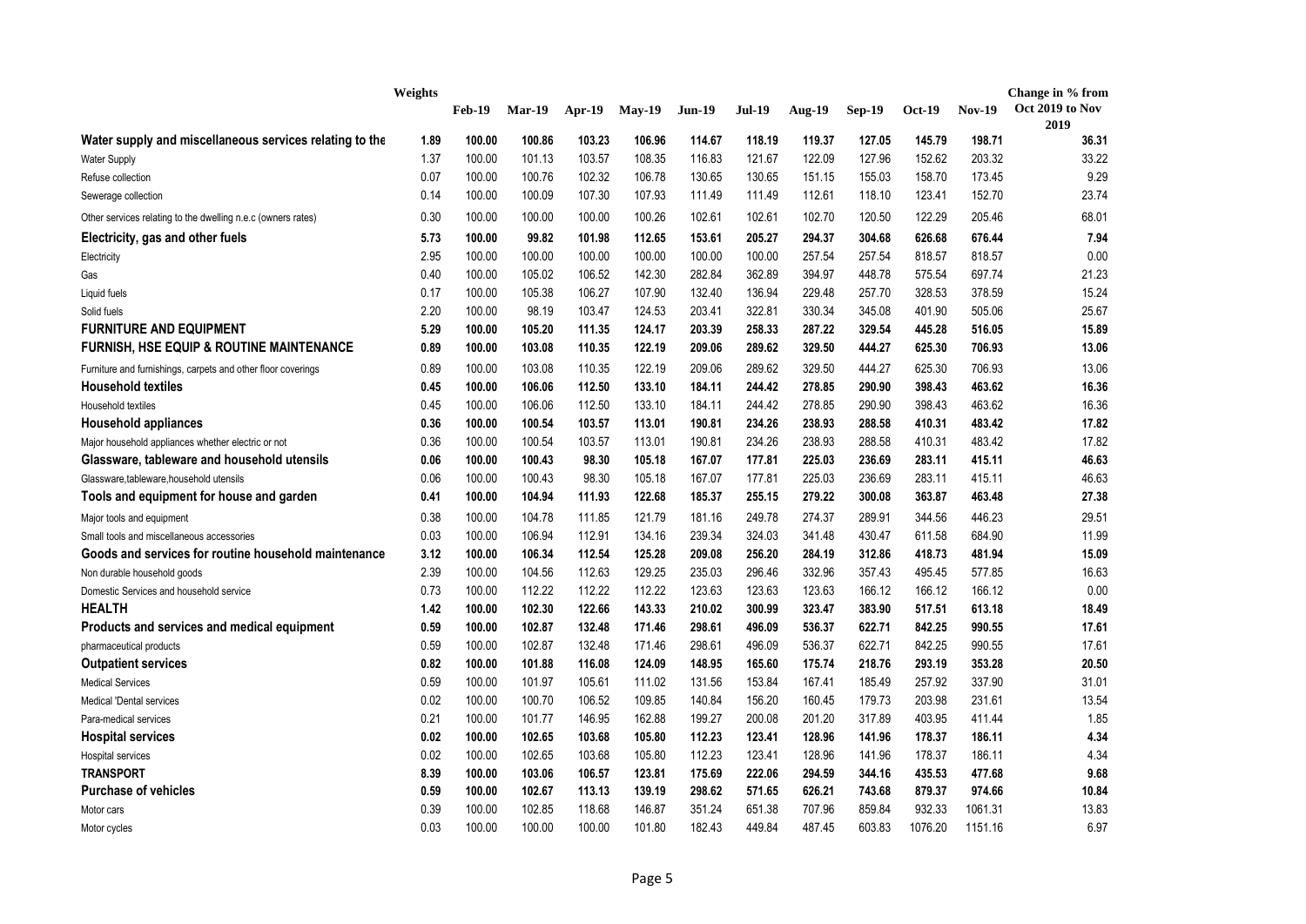|                                                              | Weights |               |          |          |          |               |        |               |               |         |               | Change in % from |
|--------------------------------------------------------------|---------|---------------|----------|----------|----------|---------------|--------|---------------|---------------|---------|---------------|------------------|
|                                                              |         | <b>Feb-19</b> | $Mar-19$ | $Apr-19$ | $May-19$ | <b>Jun-19</b> | Jul-19 | <b>Aug-19</b> | <b>Sep-19</b> | Oct-19  | <b>Nov-19</b> | Oct 2019 to Nov  |
| Water supply and miscellaneous services relating to the      | 1.89    | 100.00        | 100.86   | 103.23   | 106.96   | 114.67        | 118.19 | 119.37        | 127.05        | 145.79  | 198.71        | 2019<br>36.31    |
| <b>Water Supply</b>                                          | 1.37    | 100.00        | 101.13   | 103.57   | 108.35   | 116.83        | 121.67 | 122.09        | 127.96        | 152.62  | 203.32        | 33.22            |
| Refuse collection                                            | 0.07    | 100.00        | 100.76   | 102.32   | 106.78   | 130.65        | 130.65 | 151.15        | 155.03        | 158.70  | 173.45        | 9.29             |
| Sewerage collection                                          | 0.14    | 100.00        | 100.09   | 107.30   | 107.93   | 111.49        | 111.49 | 112.61        | 118.10        | 123.41  | 152.70        | 23.74            |
|                                                              | 0.30    | 100.00        | 100.00   | 100.00   | 100.26   | 102.61        | 102.61 | 102.70        | 120.50        | 122.29  | 205.46        | 68.01            |
| Other services relating to the dwelling n.e.c (owners rates) |         |               |          |          |          |               |        |               |               |         |               |                  |
| Electricity, gas and other fuels                             | 5.73    | 100.00        | 99.82    | 101.98   | 112.65   | 153.61        | 205.27 | 294.37        | 304.68        | 626.68  | 676.44        | 7.94             |
| Electricity                                                  | 2.95    | 100.00        | 100.00   | 100.00   | 100.00   | 100.00        | 100.00 | 257.54        | 257.54        | 818.57  | 818.57        | 0.00             |
| Gas                                                          | 0.40    | 100.00        | 105.02   | 106.52   | 142.30   | 282.84        | 362.89 | 394.97        | 448.78        | 575.54  | 697.74        | 21.23            |
| Liquid fuels                                                 | 0.17    | 100.00        | 105.38   | 106.27   | 107.90   | 132.40        | 136.94 | 229.48        | 257.70        | 328.53  | 378.59        | 15.24            |
| Solid fuels                                                  | 2.20    | 100.00        | 98.19    | 103.47   | 124.53   | 203.41        | 322.81 | 330.34        | 345.08        | 401.90  | 505.06        | 25.67            |
| <b>FURNITURE AND EQUIPMENT</b>                               | 5.29    | 100.00        | 105.20   | 111.35   | 124.17   | 203.39        | 258.33 | 287.22        | 329.54        | 445.28  | 516.05        | 15.89            |
| <b>FURNISH, HSE EQUIP &amp; ROUTINE MAINTENANCE</b>          | 0.89    | 100.00        | 103.08   | 110.35   | 122.19   | 209.06        | 289.62 | 329.50        | 444.27        | 625.30  | 706.93        | 13.06            |
| Furniture and furnishings, carpets and other floor coverings | 0.89    | 100.00        | 103.08   | 110.35   | 122.19   | 209.06        | 289.62 | 329.50        | 444.27        | 625.30  | 706.93        | 13.06            |
| <b>Household textiles</b>                                    | 0.45    | 100.00        | 106.06   | 112.50   | 133.10   | 184.11        | 244.42 | 278.85        | 290.90        | 398.43  | 463.62        | 16.36            |
| Household textiles                                           | 0.45    | 100.00        | 106.06   | 112.50   | 133.10   | 184.11        | 244.42 | 278.85        | 290.90        | 398.43  | 463.62        | 16.36            |
| <b>Household appliances</b>                                  | 0.36    | 100.00        | 100.54   | 103.57   | 113.01   | 190.81        | 234.26 | 238.93        | 288.58        | 410.31  | 483.42        | 17.82            |
| Major household appliances whether electric or not           | 0.36    | 100.00        | 100.54   | 103.57   | 113.01   | 190.81        | 234.26 | 238.93        | 288.58        | 410.31  | 483.42        | 17.82            |
| Glassware, tableware and household utensils                  | 0.06    | 100.00        | 100.43   | 98.30    | 105.18   | 167.07        | 177.81 | 225.03        | 236.69        | 283.11  | 415.11        | 46.63            |
| Glassware, tableware, household utensils                     | 0.06    | 100.00        | 100.43   | 98.30    | 105.18   | 167.07        | 177.81 | 225.03        | 236.69        | 283.11  | 415.11        | 46.63            |
| Tools and equipment for house and garden                     | 0.41    | 100.00        | 104.94   | 111.93   | 122.68   | 185.37        | 255.15 | 279.22        | 300.08        | 363.87  | 463.48        | 27.38            |
| Major tools and equipment                                    | 0.38    | 100.00        | 104.78   | 111.85   | 121.79   | 181.16        | 249.78 | 274.37        | 289.91        | 344.56  | 446.23        | 29.51            |
| Small tools and miscellaneous accessories                    | 0.03    | 100.00        | 106.94   | 112.91   | 134.16   | 239.34        | 324.03 | 341.48        | 430.47        | 611.58  | 684.90        | 11.99            |
| Goods and services for routine household maintenance         | 3.12    | 100.00        | 106.34   | 112.54   | 125.28   | 209.08        | 256.20 | 284.19        | 312.86        | 418.73  | 481.94        | 15.09            |
| Non durable household goods                                  | 2.39    | 100.00        | 104.56   | 112.63   | 129.25   | 235.03        | 296.46 | 332.96        | 357.43        | 495.45  | 577.85        | 16.63            |
| Domestic Services and household service                      | 0.73    | 100.00        | 112.22   | 112.22   | 112.22   | 123.63        | 123.63 | 123.63        | 166.12        | 166.12  | 166.12        | 0.00             |
| <b>HEALTH</b>                                                | 1.42    | 100.00        | 102.30   | 122.66   | 143.33   | 210.02        | 300.99 | 323.47        | 383.90        | 517.51  | 613.18        | 18.49            |
| Products and services and medical equipment                  | 0.59    | 100.00        | 102.87   | 132.48   | 171.46   | 298.61        | 496.09 | 536.37        | 622.71        | 842.25  | 990.55        | 17.61            |
| pharmaceutical products                                      | 0.59    | 100.00        | 102.87   | 132.48   | 171.46   | 298.61        | 496.09 | 536.37        | 622.71        | 842.25  | 990.55        | 17.61            |
| <b>Outpatient services</b>                                   | 0.82    | 100.00        | 101.88   | 116.08   | 124.09   | 148.95        | 165.60 | 175.74        | 218.76        | 293.19  | 353.28        | 20.50            |
| <b>Medical Services</b>                                      | 0.59    | 100.00        | 101.97   | 105.61   | 111.02   | 131.56        | 153.84 | 167.41        | 185.49        | 257.92  | 337.90        | 31.01            |
| <b>Medical 'Dental services</b>                              | 0.02    | 100.00        | 100.70   | 106.52   | 109.85   | 140.84        | 156.20 | 160.45        | 179.73        | 203.98  | 231.61        | 13.54            |
| Para-medical services                                        | 0.21    | 100.00        | 101.77   | 146.95   | 162.88   | 199.27        | 200.08 | 201.20        | 317.89        | 403.95  | 411.44        | 1.85             |
| <b>Hospital services</b>                                     | 0.02    | 100.00        | 102.65   | 103.68   | 105.80   | 112.23        | 123.41 | 128.96        | 141.96        | 178.37  | 186.11        | 4.34             |
| <b>Hospital services</b>                                     | 0.02    | 100.00        | 102.65   | 103.68   | 105.80   | 112.23        | 123.41 | 128.96        | 141.96        | 178.37  | 186.11        | 4.34             |
| <b>TRANSPORT</b>                                             | 8.39    | 100.00        | 103.06   | 106.57   | 123.81   | 175.69        | 222.06 | 294.59        | 344.16        | 435.53  | 477.68        | 9.68             |
| <b>Purchase of vehicles</b>                                  | 0.59    | 100.00        | 102.67   | 113.13   | 139.19   | 298.62        | 571.65 | 626.21        | 743.68        | 879.37  | 974.66        | 10.84            |
| Motor cars                                                   | 0.39    | 100.00        | 102.85   | 118.68   | 146.87   | 351.24        | 651.38 | 707.96        | 859.84        | 932.33  | 1061.31       | 13.83            |
| Motor cycles                                                 | 0.03    | 100.00        | 100.00   | 100.00   | 101.80   | 182.43        | 449.84 | 487.45        | 603.83        | 1076.20 | 1151.16       | 6.97             |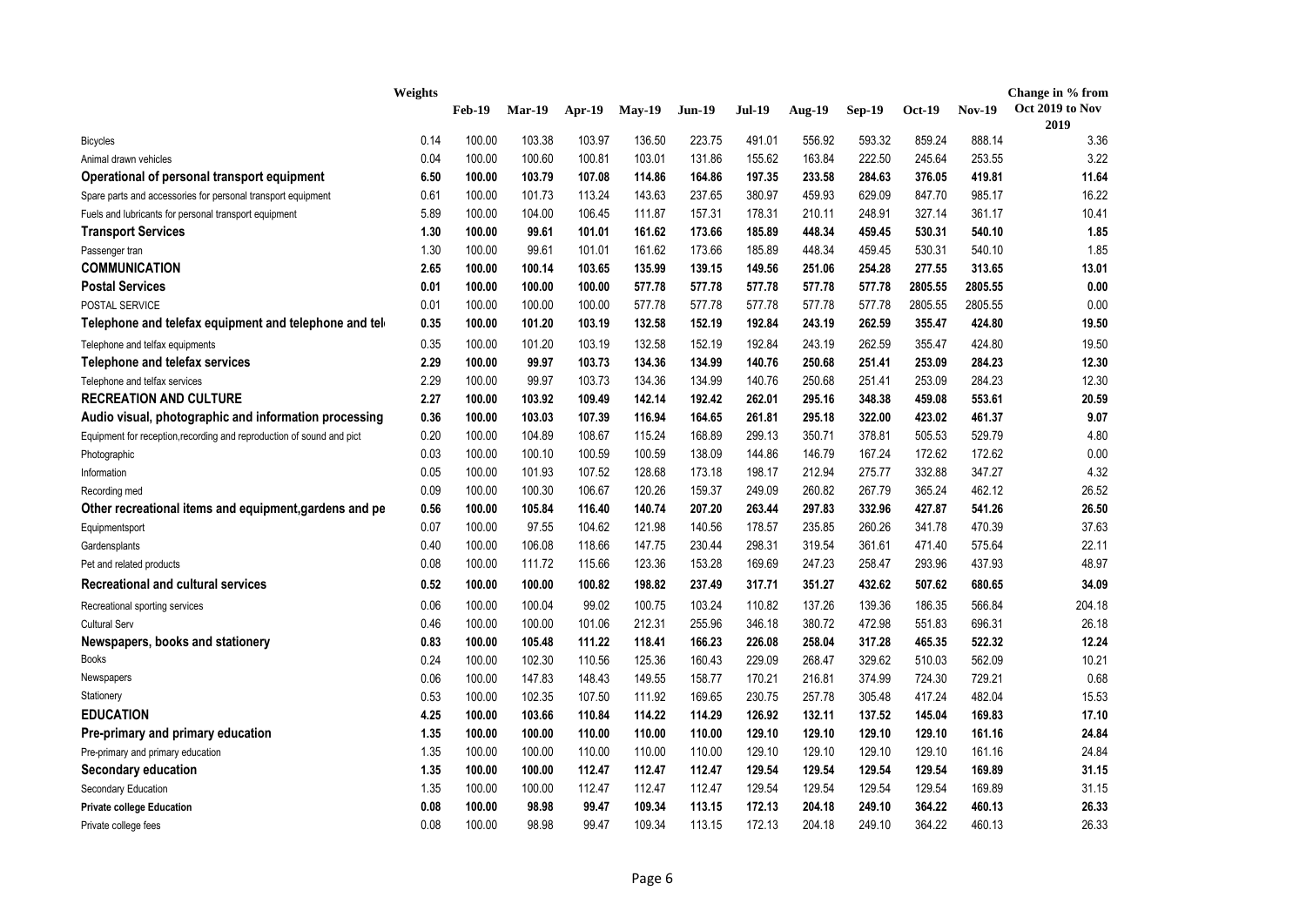|                                                                       | Weights |               |               |        |          |               |               |               |               |         |               | Change in % from        |
|-----------------------------------------------------------------------|---------|---------------|---------------|--------|----------|---------------|---------------|---------------|---------------|---------|---------------|-------------------------|
|                                                                       |         | <b>Feb-19</b> | <b>Mar-19</b> | Apr-19 | $May-19$ | <b>Jun-19</b> | <b>Jul-19</b> | <b>Aug-19</b> | <b>Sep-19</b> | Oct-19  | <b>Nov-19</b> | Oct 2019 to Nov<br>2019 |
| <b>Bicycles</b>                                                       | 0.14    | 100.00        | 103.38        | 103.97 | 136.50   | 223.75        | 491.01        | 556.92        | 593.32        | 859.24  | 888.14        | 3.36                    |
| Animal drawn vehicles                                                 | 0.04    | 100.00        | 100.60        | 100.81 | 103.01   | 131.86        | 155.62        | 163.84        | 222.50        | 245.64  | 253.55        | 3.22                    |
| Operational of personal transport equipment                           | 6.50    | 100.00        | 103.79        | 107.08 | 114.86   | 164.86        | 197.35        | 233.58        | 284.63        | 376.05  | 419.81        | 11.64                   |
| Spare parts and accessories for personal transport equipment          | 0.61    | 100.00        | 101.73        | 113.24 | 143.63   | 237.65        | 380.97        | 459.93        | 629.09        | 847.70  | 985.17        | 16.22                   |
| Fuels and lubricants for personal transport equipment                 | 5.89    | 100.00        | 104.00        | 106.45 | 111.87   | 157.31        | 178.31        | 210.11        | 248.91        | 327.14  | 361.17        | 10.41                   |
| <b>Transport Services</b>                                             | 1.30    | 100.00        | 99.61         | 101.01 | 161.62   | 173.66        | 185.89        | 448.34        | 459.45        | 530.31  | 540.10        | 1.85                    |
| Passenger tran                                                        | 1.30    | 100.00        | 99.61         | 101.01 | 161.62   | 173.66        | 185.89        | 448.34        | 459.45        | 530.31  | 540.10        | 1.85                    |
| <b>COMMUNICATION</b>                                                  | 2.65    | 100.00        | 100.14        | 103.65 | 135.99   | 139.15        | 149.56        | 251.06        | 254.28        | 277.55  | 313.65        | 13.01                   |
| <b>Postal Services</b>                                                | 0.01    | 100.00        | 100.00        | 100.00 | 577.78   | 577.78        | 577.78        | 577.78        | 577.78        | 2805.55 | 2805.55       | 0.00                    |
| POSTAL SERVICE                                                        | 0.01    | 100.00        | 100.00        | 100.00 | 577.78   | 577.78        | 577.78        | 577.78        | 577.78        | 2805.55 | 2805.55       | 0.00                    |
| Telephone and telefax equipment and telephone and tel                 | 0.35    | 100.00        | 101.20        | 103.19 | 132.58   | 152.19        | 192.84        | 243.19        | 262.59        | 355.47  | 424.80        | 19.50                   |
| Telephone and telfax equipments                                       | 0.35    | 100.00        | 101.20        | 103.19 | 132.58   | 152.19        | 192.84        | 243.19        | 262.59        | 355.47  | 424.80        | 19.50                   |
| Telephone and telefax services                                        | 2.29    | 100.00        | 99.97         | 103.73 | 134.36   | 134.99        | 140.76        | 250.68        | 251.41        | 253.09  | 284.23        | 12.30                   |
| Telephone and telfax services                                         | 2.29    | 100.00        | 99.97         | 103.73 | 134.36   | 134.99        | 140.76        | 250.68        | 251.41        | 253.09  | 284.23        | 12.30                   |
| <b>RECREATION AND CULTURE</b>                                         | 2.27    | 100.00        | 103.92        | 109.49 | 142.14   | 192.42        | 262.01        | 295.16        | 348.38        | 459.08  | 553.61        | 20.59                   |
| Audio visual, photographic and information processing                 | 0.36    | 100.00        | 103.03        | 107.39 | 116.94   | 164.65        | 261.81        | 295.18        | 322.00        | 423.02  | 461.37        | 9.07                    |
| Equipment for reception, recording and reproduction of sound and pict | 0.20    | 100.00        | 104.89        | 108.67 | 115.24   | 168.89        | 299.13        | 350.71        | 378.81        | 505.53  | 529.79        | 4.80                    |
| Photographic                                                          | 0.03    | 100.00        | 100.10        | 100.59 | 100.59   | 138.09        | 144.86        | 146.79        | 167.24        | 172.62  | 172.62        | 0.00                    |
| Information                                                           | 0.05    | 100.00        | 101.93        | 107.52 | 128.68   | 173.18        | 198.17        | 212.94        | 275.77        | 332.88  | 347.27        | 4.32                    |
| Recording med                                                         | 0.09    | 100.00        | 100.30        | 106.67 | 120.26   | 159.37        | 249.09        | 260.82        | 267.79        | 365.24  | 462.12        | 26.52                   |
| Other recreational items and equipment, gardens and pe                | 0.56    | 100.00        | 105.84        | 116.40 | 140.74   | 207.20        | 263.44        | 297.83        | 332.96        | 427.87  | 541.26        | 26.50                   |
| Equipmentsport                                                        | 0.07    | 100.00        | 97.55         | 104.62 | 121.98   | 140.56        | 178.57        | 235.85        | 260.26        | 341.78  | 470.39        | 37.63                   |
| Gardensplants                                                         | 0.40    | 100.00        | 106.08        | 118.66 | 147.75   | 230.44        | 298.31        | 319.54        | 361.61        | 471.40  | 575.64        | 22.11                   |
| Pet and related products                                              | 0.08    | 100.00        | 111.72        | 115.66 | 123.36   | 153.28        | 169.69        | 247.23        | 258.47        | 293.96  | 437.93        | 48.97                   |
| <b>Recreational and cultural services</b>                             | 0.52    | 100.00        | 100.00        | 100.82 | 198.82   | 237.49        | 317.71        | 351.27        | 432.62        | 507.62  | 680.65        | 34.09                   |
| Recreational sporting services                                        | 0.06    | 100.00        | 100.04        | 99.02  | 100.75   | 103.24        | 110.82        | 137.26        | 139.36        | 186.35  | 566.84        | 204.18                  |
| <b>Cultural Serv</b>                                                  | 0.46    | 100.00        | 100.00        | 101.06 | 212.31   | 255.96        | 346.18        | 380.72        | 472.98        | 551.83  | 696.31        | 26.18                   |
| Newspapers, books and stationery                                      | 0.83    | 100.00        | 105.48        | 111.22 | 118.41   | 166.23        | 226.08        | 258.04        | 317.28        | 465.35  | 522.32        | 12.24                   |
| <b>Books</b>                                                          | 0.24    | 100.00        | 102.30        | 110.56 | 125.36   | 160.43        | 229.09        | 268.47        | 329.62        | 510.03  | 562.09        | 10.21                   |
| Newspapers                                                            | 0.06    | 100.00        | 147.83        | 148.43 | 149.55   | 158.77        | 170.21        | 216.81        | 374.99        | 724.30  | 729.21        | 0.68                    |
| Stationery                                                            | 0.53    | 100.00        | 102.35        | 107.50 | 111.92   | 169.65        | 230.75        | 257.78        | 305.48        | 417.24  | 482.04        | 15.53                   |
| <b>EDUCATION</b>                                                      | 4.25    | 100.00        | 103.66        | 110.84 | 114.22   | 114.29        | 126.92        | 132.11        | 137.52        | 145.04  | 169.83        | 17.10                   |
| Pre-primary and primary education                                     | 1.35    | 100.00        | 100.00        | 110.00 | 110.00   | 110.00        | 129.10        | 129.10        | 129.10        | 129.10  | 161.16        | 24.84                   |
| Pre-primary and primary education                                     | 1.35    | 100.00        | 100.00        | 110.00 | 110.00   | 110.00        | 129.10        | 129.10        | 129.10        | 129.10  | 161.16        | 24.84                   |
| <b>Secondary education</b>                                            | 1.35    | 100.00        | 100.00        | 112.47 | 112.47   | 112.47        | 129.54        | 129.54        | 129.54        | 129.54  | 169.89        | 31.15                   |
| Secondary Education                                                   | 1.35    | 100.00        | 100.00        | 112.47 | 112.47   | 112.47        | 129.54        | 129.54        | 129.54        | 129.54  | 169.89        | 31.15                   |
| <b>Private college Education</b>                                      | 0.08    | 100.00        | 98.98         | 99.47  | 109.34   | 113.15        | 172.13        | 204.18        | 249.10        | 364.22  | 460.13        | 26.33                   |
| Private college fees                                                  | 0.08    | 100.00        | 98.98         | 99.47  | 109.34   | 113.15        | 172.13        | 204.18        | 249.10        | 364.22  | 460.13        | 26.33                   |